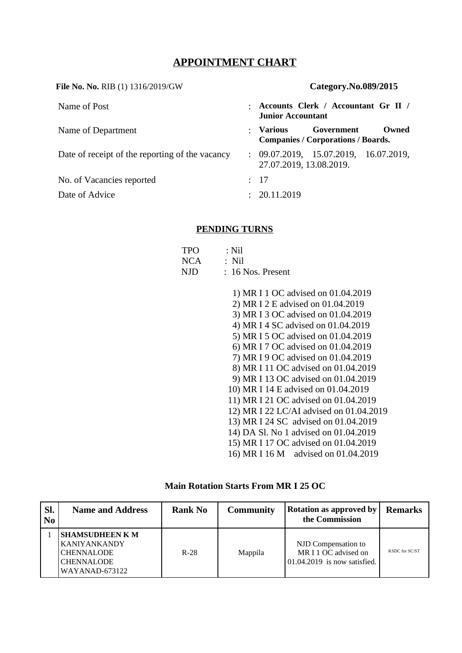# **APPOINTMENT CHART**

**File No. No.** RIB (1) 1316/2019/GW **Category.No.089/2015** Name of Post : **Accounts Clerk / Accountant Gr II / Junior Accountant**  Name of Department **COVERTMENT 1** 2008 **Government** Owned **Companies / Corporations / Boards.** Date of receipt of the reporting of the vacancy : 09.07.2019, 15.07.2019, 16.07.2019, 27.07.2019, 13.08.2019. No. of Vacancies reported : 17 Date of Advice : 20.11.2019

### **PENDING TURNS**

| <b>TPO</b> | : Nil                        |
|------------|------------------------------|
| NCA        | $\therefore$ Nil             |
| NJD.       | $\therefore$ 16 Nos. Present |

1) MR I 1 OC advised on 01.04.2019 2) MR I 2 E advised on 01.04.2019 3) MR I 3 OC advised on 01.04.2019 4) MR I 4 SC advised on 01.04.2019 5) MR I 5 OC advised on 01.04.2019 6) MR I 7 OC advised on 01.04.2019 7) MR I 9 OC advised on 01.04.2019 8) MR I 11 OC advised on 01.04.2019 9) MR I 13 OC advised on 01.04.2019 10) MR I 14 E advised on 01.04.2019 11) MR I 21 OC advised on 01.04.2019 12) MR I 22 LC/AI advised on 01.04.2019 13) MR I 24 SC advised on 01.04.2019 14) DA Sl. No 1 advised on 01.04.2019 15) MR I 17 OC advised on 01.04.2019 16) MR I 16 M advised on 01.04.2019

### **Main Rotation Starts From MR I 25 OC**

| Sl.<br>No | <b>Name and Address</b>                                                                                   | <b>Rank No</b> | <b>Community</b> | <b>Rotation as approved by</b><br>the Commission                               | <b>Remarks</b> |
|-----------|-----------------------------------------------------------------------------------------------------------|----------------|------------------|--------------------------------------------------------------------------------|----------------|
|           | <b>SHAMSUDHEEN K M</b><br><b>KANIYANKANDY</b><br><b>CHENNALODE</b><br><b>CHENNALODE</b><br>WAYANAD-673122 | $R-28$         | Mappila          | NJD Compensation to<br>MR I 1 OC advised on<br>$101.04.2019$ is now satisfied. | KSDC for SC/ST |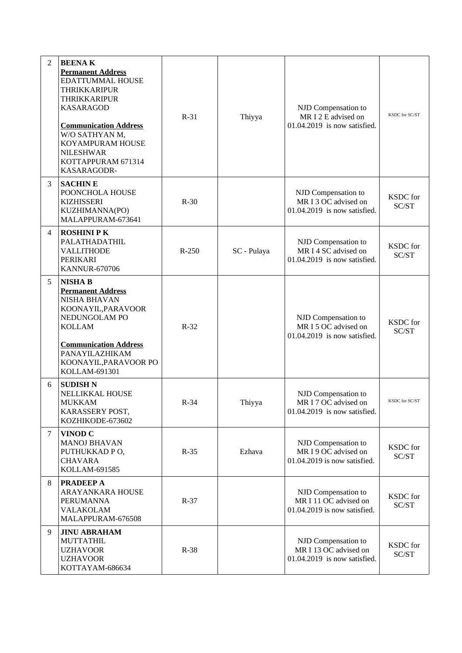| 2 | <b>BEENAK</b><br><b>Permanent Address</b><br>EDATTUMMAL HOUSE<br><b>THRIKKARIPUR</b><br><b>THRIKKARIPUR</b><br><b>KASARAGOD</b><br><b>Communication Address</b><br>W/O SATHYAN M,<br>KOYAMPURAM HOUSE<br><b>NILESHWAR</b><br>KOTTAPPURAM 671314<br>KASARAGODR- | $R-31$  | Thiyya      | NJD Compensation to<br>MR I 2 E advised on<br>$01.04.2019$ is now satisfied.  | KSDC for SC/ST           |
|---|----------------------------------------------------------------------------------------------------------------------------------------------------------------------------------------------------------------------------------------------------------------|---------|-------------|-------------------------------------------------------------------------------|--------------------------|
| 3 | <b>SACHINE</b><br>POONCHOLA HOUSE<br><b>KIZHISSERI</b><br>KUZHIMANNA(PO)<br>MALAPPURAM-673641                                                                                                                                                                  | $R-30$  |             | NJD Compensation to<br>MR I 3 OC advised on<br>01.04.2019 is now satisfied.   | <b>KSDC</b> for<br>SC/ST |
| 4 | <b>ROSHINI PK</b><br>PALATHADATHIL<br><b>VALLITHODE</b><br>PERIKARI<br><b>KANNUR-670706</b>                                                                                                                                                                    | $R-250$ | SC - Pulaya | NJD Compensation to<br>MR I 4 SC advised on<br>01.04.2019 is now satisfied.   | KSDC for<br>SC/ST        |
| 5 | <b>NISHA B</b><br><b>Permanent Address</b><br><b>NISHA BHAVAN</b><br>KOONAYIL, PARAVOOR<br>NEDUNGOLAM PO<br><b>KOLLAM</b><br><b>Communication Address</b><br>PANAYILAZHIKAM<br>KOONAYIL, PARAVOOR PO<br>KOLLAM-691301                                          | $R-32$  |             | NJD Compensation to<br>MR I 5 OC advised on<br>$01.04.2019$ is now satisfied. | KSDC for<br>SC/ST        |
| 6 | <b>SUDISH N</b><br>NELLIKKAL HOUSE<br><b>MUKKAM</b><br>KARASSERY POST,<br>KOZHIKODE-673602                                                                                                                                                                     | $R-34$  | Thiyya      | NJD Compensation to<br>MR I 7 OC advised on<br>01.04.2019 is now satisfied.   | KSDC for SC/ST           |
| 7 | VINOD <sub>C</sub><br><b>MANOJ BHAVAN</b><br>PUTHUKKAD PO,<br><b>CHAVARA</b><br>KOLLAM-691585                                                                                                                                                                  | $R-35$  | Ezhava      | NJD Compensation to<br>MR I 9 OC advised on<br>01.04.2019 is now satisfied.   | KSDC for<br>SC/ST        |
| 8 | <b>PRADEEP A</b><br><b>ARAYANKARA HOUSE</b><br><b>PERUMANNA</b><br><b>VALAKOLAM</b><br>MALAPPURAM-676508                                                                                                                                                       | $R-37$  |             | NJD Compensation to<br>MR I 11 OC advised on<br>01.04.2019 is now satisfied.  | KSDC for<br>SC/ST        |
| 9 | <b>JINU ABRAHAM</b><br><b>MUTTATHIL</b><br><b>UZHAVOOR</b><br><b>UZHAVOOR</b><br>KOTTAYAM-686634                                                                                                                                                               | $R-38$  |             | NJD Compensation to<br>MR I 13 OC advised on<br>01.04.2019 is now satisfied.  | <b>KSDC</b> for<br>SC/ST |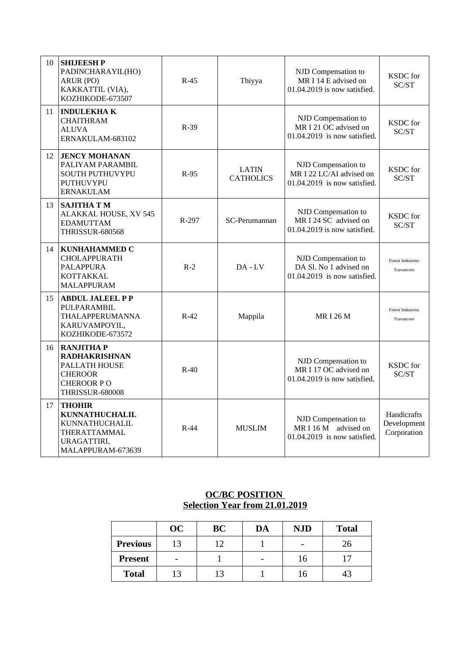| 10 | <b>SHIJEESHP</b><br>PADINCHARAYIL(HO)<br>ARUR (PO)<br>KAKKATTIL (VIA),<br>KOZHIKODE-673507                                 | $R-45$ | Thiyya                           | NJD Compensation to<br>MR I 14 E advised on<br>01.04.2019 is now satisfied.     | KSDC for<br>SC/ST                         |
|----|----------------------------------------------------------------------------------------------------------------------------|--------|----------------------------------|---------------------------------------------------------------------------------|-------------------------------------------|
| 11 | <b>INDULEKHAK</b><br><b>CHAITHRAM</b><br><b>ALUVA</b><br>ERNAKULAM-683102                                                  | $R-39$ |                                  | NJD Compensation to<br>MR I 21 OC advised on<br>01.04.2019 is now satisfied.    | KSDC for<br>SC/ST                         |
| 12 | <b>JENCY MOHANAN</b><br>PALIYAM PARAMBIL<br>SOUTH PUTHUVYPU<br>PUTHUVYPU<br><b>ERNAKULAM</b>                               | $R-95$ | <b>LATIN</b><br><b>CATHOLICS</b> | NJD Compensation to<br>MR I 22 LC/AI advised on<br>01.04.2019 is now satisfied. | <b>KSDC</b> for<br>SC/ST                  |
| 13 | <b>SAJITHA T M</b><br>ALAKKAL HOUSE, XV 545<br><b>EDAMUTTAM</b><br><b>THRISSUR-680568</b>                                  | R-297  | SC-Perumannan                    | NJD Compensation to<br>MR I 24 SC advised on<br>01.04.2019 is now satisfied.    | <b>KSDC</b> for<br>SC/ST                  |
| 14 | <b>KUNHAHAMMED C</b><br><b>CHOLAPPURATH</b><br><b>PALAPPURA</b><br>KOTTAKKAL<br><b>MALAPPURAM</b>                          | $R-2$  | DA - LV                          | NJD Compensation to<br>DA Sl. No 1 advised on<br>01.04.2019 is now satisfied.   | <b>Forest Industries</b><br>Travancore    |
| 15 | <b>ABDUL JALEEL P P</b><br>PULPARAMBIL<br>THALAPPERUMANNA<br>KARUVAMPOYIL,<br>KOZHIKODE-673572                             | $R-42$ | Mappila                          | <b>MRI 26 M</b>                                                                 | <b>Forest Industries</b><br>Travancore    |
| 16 | <b>RANJITHAP</b><br><b>RADHAKRISHNAN</b><br>PALLATH HOUSE<br><b>CHEROOR</b><br><b>CHEROOR PO</b><br><b>THRISSUR-680008</b> | $R-40$ |                                  | NJD Compensation to<br>MR I 17 OC advised on<br>01.04.2019 is now satisfied.    | <b>KSDC</b> for<br>SC/ST                  |
| 17 | <b>THOHIR</b><br><b>KUNNATHUCHALIL</b><br>KUNNATHUCHALIL<br>THERATTAMMAL<br>URAGATTIRI,<br>MALAPPURAM-673639               | $R-44$ | <b>MUSLIM</b>                    | NJD Compensation to<br>MR I 16 M advised on<br>$01.04.2019$ is now satisfied.   | Handicrafts<br>Development<br>Corporation |

### **OC/BC POSITION Selection Year from 21.01.2019**

|                 | OC | BC | DA | <b>NJD</b> | <b>Total</b> |
|-----------------|----|----|----|------------|--------------|
| <b>Previous</b> | 13 |    |    |            | 26           |
| <b>Present</b>  |    |    |    | 16         | 17           |
| <b>Total</b>    |    | 13 |    | 16         | 43           |